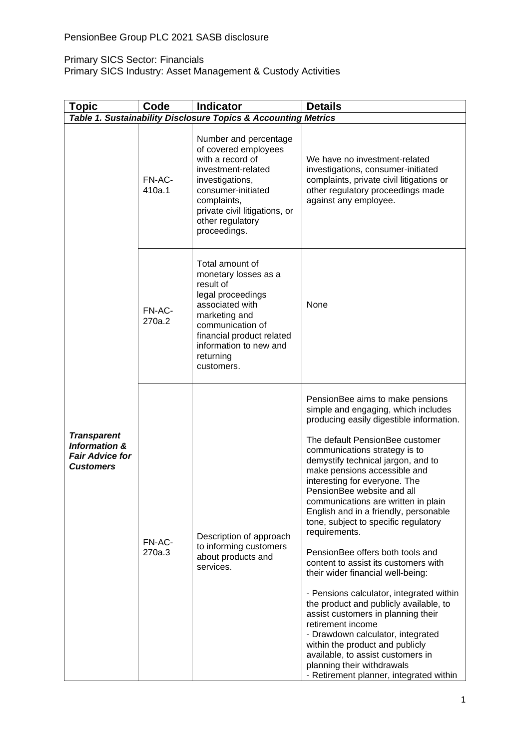#### Primary SICS Sector: Financials

Primary SICS Industry: Asset Management & Custody Activities

| <b>Topic</b>                                                                                 | Code             | <b>Indicator</b>                                                                                                                                                                                                     | <b>Details</b>                                                                                                                                                                                                                                                                                                                                                                                                                                                                                                                                                                                                                                                                                                                                                                                                                                                                                                                |
|----------------------------------------------------------------------------------------------|------------------|----------------------------------------------------------------------------------------------------------------------------------------------------------------------------------------------------------------------|-------------------------------------------------------------------------------------------------------------------------------------------------------------------------------------------------------------------------------------------------------------------------------------------------------------------------------------------------------------------------------------------------------------------------------------------------------------------------------------------------------------------------------------------------------------------------------------------------------------------------------------------------------------------------------------------------------------------------------------------------------------------------------------------------------------------------------------------------------------------------------------------------------------------------------|
| Table 1. Sustainability Disclosure Topics & Accounting Metrics                               |                  |                                                                                                                                                                                                                      |                                                                                                                                                                                                                                                                                                                                                                                                                                                                                                                                                                                                                                                                                                                                                                                                                                                                                                                               |
| <b>Transparent</b><br><b>Information &amp;</b><br><b>Fair Advice for</b><br><b>Customers</b> | FN-AC-<br>410a.1 | Number and percentage<br>of covered employees<br>with a record of<br>investment-related<br>investigations,<br>consumer-initiated<br>complaints,<br>private civil litigations, or<br>other regulatory<br>proceedings. | We have no investment-related<br>investigations, consumer-initiated<br>complaints, private civil litigations or<br>other regulatory proceedings made<br>against any employee.                                                                                                                                                                                                                                                                                                                                                                                                                                                                                                                                                                                                                                                                                                                                                 |
|                                                                                              | FN-AC-<br>270a.2 | Total amount of<br>monetary losses as a<br>result of<br>legal proceedings<br>associated with<br>marketing and<br>communication of<br>financial product related<br>information to new and<br>returning<br>customers.  | None                                                                                                                                                                                                                                                                                                                                                                                                                                                                                                                                                                                                                                                                                                                                                                                                                                                                                                                          |
|                                                                                              | FN-AC-<br>270a.3 | Description of approach<br>to informing customers<br>about products and<br>services.                                                                                                                                 | PensionBee aims to make pensions<br>simple and engaging, which includes<br>producing easily digestible information.<br>The default PensionBee customer<br>communications strategy is to<br>demystify technical jargon, and to<br>make pensions accessible and<br>interesting for everyone. The<br>PensionBee website and all<br>communications are written in plain<br>English and in a friendly, personable<br>tone, subject to specific regulatory<br>requirements.<br>PensionBee offers both tools and<br>content to assist its customers with<br>their wider financial well-being:<br>- Pensions calculator, integrated within<br>the product and publicly available, to<br>assist customers in planning their<br>retirement income<br>- Drawdown calculator, integrated<br>within the product and publicly<br>available, to assist customers in<br>planning their withdrawals<br>- Retirement planner, integrated within |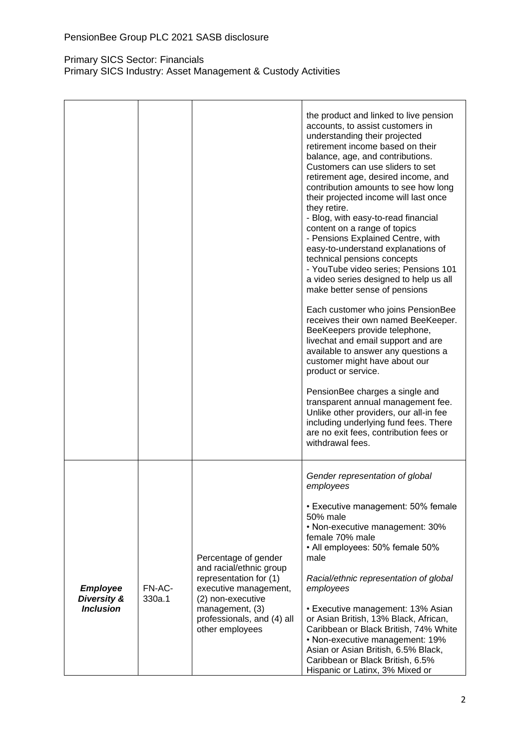|                                                    |                  |                                                                                                                                                                          | the product and linked to live pension<br>accounts, to assist customers in<br>understanding their projected<br>retirement income based on their<br>balance, age, and contributions.<br>Customers can use sliders to set<br>retirement age, desired income, and<br>contribution amounts to see how long<br>their projected income will last once<br>they retire.<br>- Blog, with easy-to-read financial<br>content on a range of topics<br>- Pensions Explained Centre, with<br>easy-to-understand explanations of<br>technical pensions concepts<br>- YouTube video series; Pensions 101<br>a video series designed to help us all<br>make better sense of pensions<br>Each customer who joins PensionBee<br>receives their own named BeeKeeper.<br>BeeKeepers provide telephone,<br>livechat and email support and are<br>available to answer any questions a<br>customer might have about our<br>product or service.<br>PensionBee charges a single and<br>transparent annual management fee.<br>Unlike other providers, our all-in fee<br>including underlying fund fees. There<br>are no exit fees, contribution fees or<br>withdrawal fees. |
|----------------------------------------------------|------------------|--------------------------------------------------------------------------------------------------------------------------------------------------------------------------|--------------------------------------------------------------------------------------------------------------------------------------------------------------------------------------------------------------------------------------------------------------------------------------------------------------------------------------------------------------------------------------------------------------------------------------------------------------------------------------------------------------------------------------------------------------------------------------------------------------------------------------------------------------------------------------------------------------------------------------------------------------------------------------------------------------------------------------------------------------------------------------------------------------------------------------------------------------------------------------------------------------------------------------------------------------------------------------------------------------------------------------------------|
| <b>Employee</b><br>Diversity &<br><b>Inclusion</b> | FN-AC-<br>330a.1 | Percentage of gender<br>and racial/ethnic group<br>representation for (1)<br>executive management,<br>(2) non-executive<br>management, (3)<br>professionals, and (4) all | Gender representation of global<br>employees<br>• Executive management: 50% female<br>50% male<br>• Non-executive management: 30%<br>female 70% male<br>• All employees: 50% female 50%<br>male<br>Racial/ethnic representation of global<br>employees<br>• Executive management: 13% Asian<br>or Asian British, 13% Black, African,                                                                                                                                                                                                                                                                                                                                                                                                                                                                                                                                                                                                                                                                                                                                                                                                             |
|                                                    |                  | other employees                                                                                                                                                          | Caribbean or Black British, 74% White<br>• Non-executive management: 19%<br>Asian or Asian British, 6.5% Black,<br>Caribbean or Black British, 6.5%<br>Hispanic or Latinx, 3% Mixed or                                                                                                                                                                                                                                                                                                                                                                                                                                                                                                                                                                                                                                                                                                                                                                                                                                                                                                                                                           |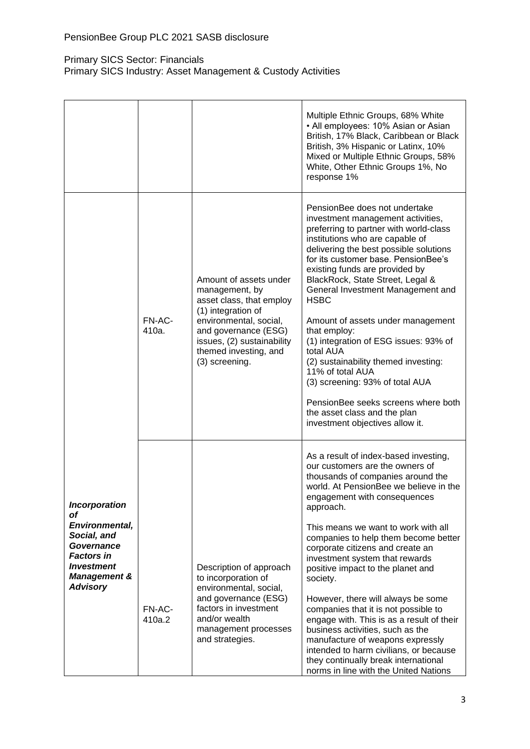|                                                                                                                                                                   |                  |                                                                                                                                                                                                                       | Multiple Ethnic Groups, 68% White<br>• All employees: 10% Asian or Asian<br>British, 17% Black, Caribbean or Black<br>British, 3% Hispanic or Latinx, 10%<br>Mixed or Multiple Ethnic Groups, 58%<br>White, Other Ethnic Groups 1%, No<br>response 1%                                                                                                                                                                                                                                                                                                                                                                                                                                                                                    |
|-------------------------------------------------------------------------------------------------------------------------------------------------------------------|------------------|-----------------------------------------------------------------------------------------------------------------------------------------------------------------------------------------------------------------------|------------------------------------------------------------------------------------------------------------------------------------------------------------------------------------------------------------------------------------------------------------------------------------------------------------------------------------------------------------------------------------------------------------------------------------------------------------------------------------------------------------------------------------------------------------------------------------------------------------------------------------------------------------------------------------------------------------------------------------------|
|                                                                                                                                                                   | FN-AC-<br>410a.  | Amount of assets under<br>management, by<br>asset class, that employ<br>(1) integration of<br>environmental, social,<br>and governance (ESG)<br>issues, (2) sustainability<br>themed investing, and<br>(3) screening. | PensionBee does not undertake<br>investment management activities,<br>preferring to partner with world-class<br>institutions who are capable of<br>delivering the best possible solutions<br>for its customer base. PensionBee's<br>existing funds are provided by<br>BlackRock, State Street, Legal &<br>General Investment Management and<br><b>HSBC</b><br>Amount of assets under management<br>that employ:<br>(1) integration of ESG issues: 93% of<br>total AUA<br>(2) sustainability themed investing:<br>11% of total AUA<br>(3) screening: 93% of total AUA<br>PensionBee seeks screens where both<br>the asset class and the plan<br>investment objectives allow it.                                                           |
| <b>Incorporation</b><br>of<br>Environmental,<br>Social, and<br>Governance<br><b>Factors in</b><br><b>Investment</b><br><b>Management &amp;</b><br><b>Advisory</b> | FN-AC-<br>410a.2 | Description of approach<br>to incorporation of<br>environmental, social,<br>and governance (ESG)<br>factors in investment<br>and/or wealth<br>management processes<br>and strategies.                                 | As a result of index-based investing,<br>our customers are the owners of<br>thousands of companies around the<br>world. At PensionBee we believe in the<br>engagement with consequences<br>approach.<br>This means we want to work with all<br>companies to help them become better<br>corporate citizens and create an<br>investment system that rewards<br>positive impact to the planet and<br>society.<br>However, there will always be some<br>companies that it is not possible to<br>engage with. This is as a result of their<br>business activities, such as the<br>manufacture of weapons expressly<br>intended to harm civilians, or because<br>they continually break international<br>norms in line with the United Nations |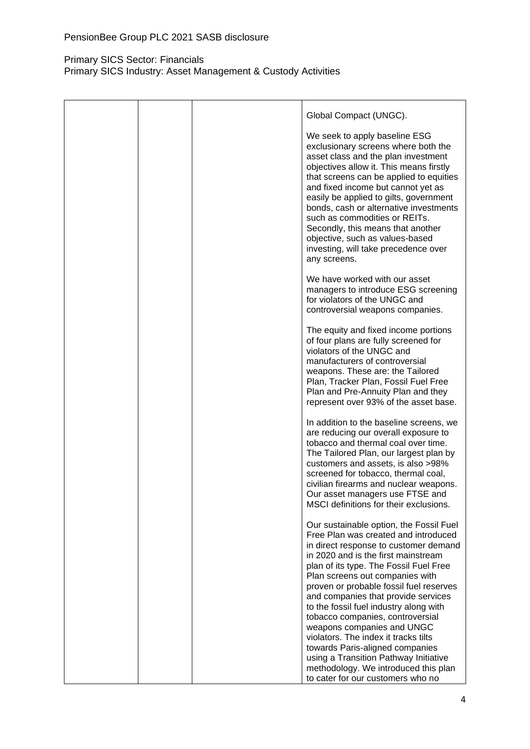|  | Global Compact (UNGC).                                                                                                                                                                                                                                                                                                                                                                                                                                                                                                                                                                                 |
|--|--------------------------------------------------------------------------------------------------------------------------------------------------------------------------------------------------------------------------------------------------------------------------------------------------------------------------------------------------------------------------------------------------------------------------------------------------------------------------------------------------------------------------------------------------------------------------------------------------------|
|  | We seek to apply baseline ESG<br>exclusionary screens where both the<br>asset class and the plan investment<br>objectives allow it. This means firstly<br>that screens can be applied to equities<br>and fixed income but cannot yet as<br>easily be applied to gilts, government<br>bonds, cash or alternative investments<br>such as commodities or REITs.<br>Secondly, this means that another<br>objective, such as values-based<br>investing, will take precedence over<br>any screens.                                                                                                           |
|  | We have worked with our asset<br>managers to introduce ESG screening<br>for violators of the UNGC and<br>controversial weapons companies.                                                                                                                                                                                                                                                                                                                                                                                                                                                              |
|  | The equity and fixed income portions<br>of four plans are fully screened for<br>violators of the UNGC and<br>manufacturers of controversial<br>weapons. These are: the Tailored<br>Plan, Tracker Plan, Fossil Fuel Free<br>Plan and Pre-Annuity Plan and they<br>represent over 93% of the asset base.                                                                                                                                                                                                                                                                                                 |
|  | In addition to the baseline screens, we<br>are reducing our overall exposure to<br>tobacco and thermal coal over time.<br>The Tailored Plan, our largest plan by<br>customers and assets, is also >98%<br>screened for tobacco, thermal coal,<br>civilian firearms and nuclear weapons.<br>Our asset managers use FTSE and<br>MSCI definitions for their exclusions.                                                                                                                                                                                                                                   |
|  | Our sustainable option, the Fossil Fuel<br>Free Plan was created and introduced<br>in direct response to customer demand<br>in 2020 and is the first mainstream<br>plan of its type. The Fossil Fuel Free<br>Plan screens out companies with<br>proven or probable fossil fuel reserves<br>and companies that provide services<br>to the fossil fuel industry along with<br>tobacco companies, controversial<br>weapons companies and UNGC<br>violators. The index it tracks tilts<br>towards Paris-aligned companies<br>using a Transition Pathway Initiative<br>methodology. We introduced this plan |
|  |                                                                                                                                                                                                                                                                                                                                                                                                                                                                                                                                                                                                        |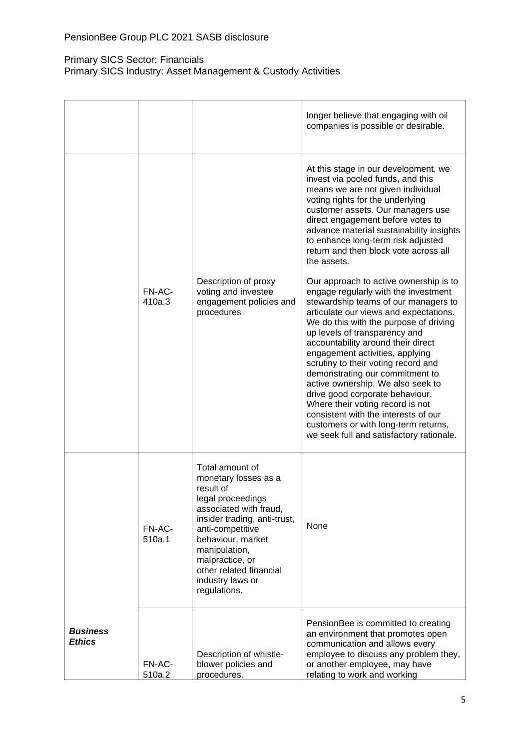|                                  |                  |                                                                                                                                                                                                                                                                                 | longer believe that engaging with oil<br>companies is possible or desirable.                                                                                                                                                                                                                                                                                                                                                                                                                                                                                                                                                           |
|----------------------------------|------------------|---------------------------------------------------------------------------------------------------------------------------------------------------------------------------------------------------------------------------------------------------------------------------------|----------------------------------------------------------------------------------------------------------------------------------------------------------------------------------------------------------------------------------------------------------------------------------------------------------------------------------------------------------------------------------------------------------------------------------------------------------------------------------------------------------------------------------------------------------------------------------------------------------------------------------------|
|                                  |                  |                                                                                                                                                                                                                                                                                 | At this stage in our development, we<br>invest via pooled funds, and this<br>means we are not given individual<br>voting rights for the underlying<br>customer assets. Our managers use<br>direct engagement before votes to<br>advance material sustainability insights<br>to enhance long-term risk adjusted<br>return and then block vote across all<br>the assets.                                                                                                                                                                                                                                                                 |
|                                  | FN-AC-<br>410a.3 | Description of proxy<br>voting and investee<br>engagement policies and<br>procedures                                                                                                                                                                                            | Our approach to active ownership is to<br>engage regularly with the investment<br>stewardship teams of our managers to<br>articulate our views and expectations.<br>We do this with the purpose of driving<br>up levels of transparency and<br>accountability around their direct<br>engagement activities, applying<br>scrutiny to their voting record and<br>demonstrating our commitment to<br>active ownership. We also seek to<br>drive good corporate behaviour.<br>Where their voting record is not<br>consistent with the interests of our<br>customers or with long-term returns,<br>we seek full and satisfactory rationale. |
|                                  | FN-AC-<br>510a.1 | Total amount of<br>monetary losses as a<br>result of<br>legal proceedings<br>associated with fraud,<br>insider trading, anti-trust,<br>anti-competitive<br>behaviour, market<br>manipulation,<br>malpractice, or<br>other related financial<br>industry laws or<br>regulations. | <b>None</b>                                                                                                                                                                                                                                                                                                                                                                                                                                                                                                                                                                                                                            |
| <b>Business</b><br><b>Ethics</b> | FN-AC-<br>510a.2 | Description of whistle-<br>blower policies and<br>procedures.                                                                                                                                                                                                                   | PensionBee is committed to creating<br>an environment that promotes open<br>communication and allows every<br>employee to discuss any problem they,<br>or another employee, may have<br>relating to work and working                                                                                                                                                                                                                                                                                                                                                                                                                   |